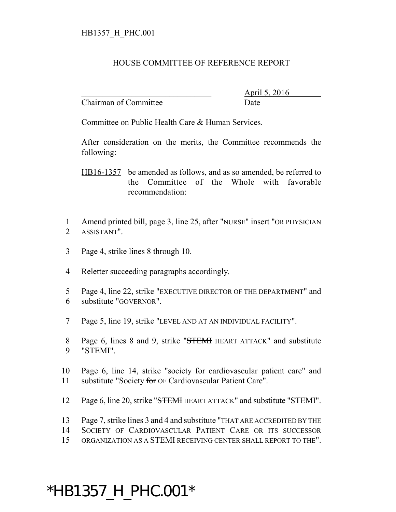## HOUSE COMMITTEE OF REFERENCE REPORT

Chairman of Committee Date

\_\_\_\_\_\_\_\_\_\_\_\_\_\_\_\_\_\_\_\_\_\_\_\_\_\_\_\_\_\_\_ April 5, 2016

Committee on Public Health Care & Human Services.

After consideration on the merits, the Committee recommends the following:

HB16-1357 be amended as follows, and as so amended, be referred to the Committee of the Whole with favorable recommendation:

- 1 Amend printed bill, page 3, line 25, after "NURSE" insert "OR PHYSICIAN 2 ASSISTANT".
- 3 Page 4, strike lines 8 through 10.
- 4 Reletter succeeding paragraphs accordingly.
- 5 Page 4, line 22, strike "EXECUTIVE DIRECTOR OF THE DEPARTMENT" and 6 substitute "GOVERNOR".
- 7 Page 5, line 19, strike "LEVEL AND AT AN INDIVIDUAL FACILITY".
- 8 Page 6, lines 8 and 9, strike "STEMI HEART ATTACK" and substitute 9 "STEMI".
- 10 Page 6, line 14, strike "society for cardiovascular patient care" and 11 substitute "Society for OF Cardiovascular Patient Care".
- 12 Page 6, line 20, strike "STEMH HEART ATTACK" and substitute "STEMI".
- 13 Page 7, strike lines 3 and 4 and substitute "THAT ARE ACCREDITED BY THE
- 14 SOCIETY OF CARDIOVASCULAR PATIENT CARE OR ITS SUCCESSOR
- 15 ORGANIZATION AS A STEMI RECEIVING CENTER SHALL REPORT TO THE".

## \*HB1357\_H\_PHC.001\*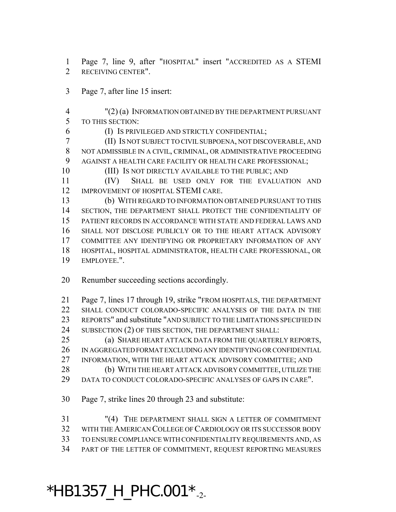Page 7, line 9, after "HOSPITAL" insert "ACCREDITED AS A STEMI RECEIVING CENTER".

- Page 7, after line 15 insert:
- "(2) (a) INFORMATION OBTAINED BY THE DEPARTMENT PURSUANT TO THIS SECTION:
- (I) IS PRIVILEGED AND STRICTLY CONFIDENTIAL;
- (II) IS NOT SUBJECT TO CIVIL SUBPOENA, NOT DISCOVERABLE, AND NOT ADMISSIBLE IN A CIVIL, CRIMINAL, OR ADMINISTRATIVE PROCEEDING AGAINST A HEALTH CARE FACILITY OR HEALTH CARE PROFESSIONAL;
- (III) IS NOT DIRECTLY AVAILABLE TO THE PUBLIC; AND
- (IV) SHALL BE USED ONLY FOR THE EVALUATION AND 12 IMPROVEMENT OF HOSPITAL STEMI CARE.
- (b) WITH REGARD TO INFORMATION OBTAINED PURSUANT TO THIS SECTION, THE DEPARTMENT SHALL PROTECT THE CONFIDENTIALITY OF PATIENT RECORDS IN ACCORDANCE WITH STATE AND FEDERAL LAWS AND SHALL NOT DISCLOSE PUBLICLY OR TO THE HEART ATTACK ADVISORY COMMITTEE ANY IDENTIFYING OR PROPRIETARY INFORMATION OF ANY HOSPITAL, HOSPITAL ADMINISTRATOR, HEALTH CARE PROFESSIONAL, OR EMPLOYEE.".
- Renumber succeeding sections accordingly.
- Page 7, lines 17 through 19, strike "FROM HOSPITALS, THE DEPARTMENT SHALL CONDUCT COLORADO-SPECIFIC ANALYSES OF THE DATA IN THE REPORTS" and substitute "AND SUBJECT TO THE LIMITATIONS SPECIFIED IN 24 SUBSECTION (2) OF THIS SECTION, THE DEPARTMENT SHALL:
- (a) SHARE HEART ATTACK DATA FROM THE QUARTERLY REPORTS, IN AGGREGATED FORMAT EXCLUDING ANY IDENTIFYING OR CONFIDENTIAL INFORMATION, WITH THE HEART ATTACK ADVISORY COMMITTEE; AND
- 28 (b) WITH THE HEART ATTACK ADVISORY COMMITTEE, UTILIZE THE
- DATA TO CONDUCT COLORADO-SPECIFIC ANALYSES OF GAPS IN CARE".
- Page 7, strike lines 20 through 23 and substitute:

 "(4) THE DEPARTMENT SHALL SIGN A LETTER OF COMMITMENT WITH THE AMERICAN COLLEGE OF CARDIOLOGY OR ITS SUCCESSOR BODY TO ENSURE COMPLIANCE WITH CONFIDENTIALITY REQUIREMENTS AND, AS PART OF THE LETTER OF COMMITMENT, REQUEST REPORTING MEASURES

## $*$ HB1357\_H\_PHC.001 $*$ <sub>-2-</sub>